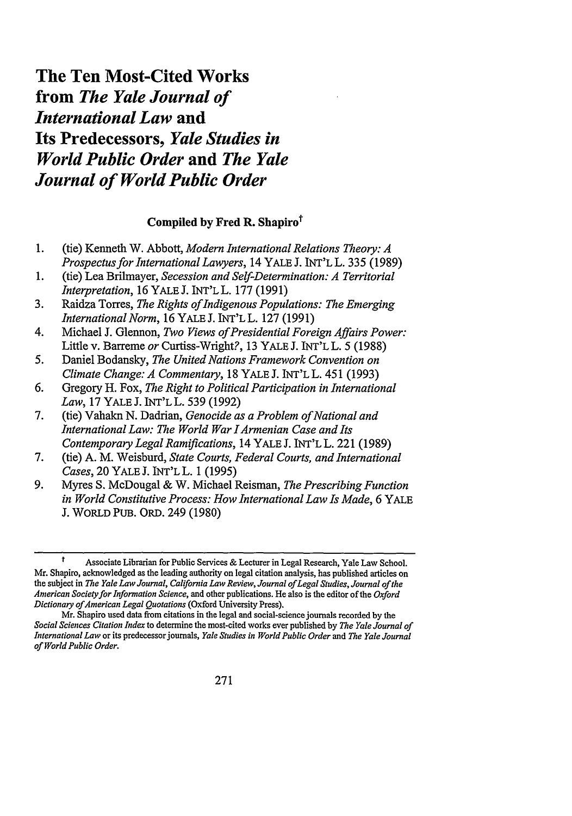## The Ten Most-Cited Works from *The Yale Journal of International Law* and Its Predecessors, *Yale Studies in World Public Order* and *The Yale Journal of World Public Order*

## **Compiled by Fred R. Shapiro**<sup>†</sup>

- **1.** (tie) Kenneth W. Abbott, *Modern International Relations Theory: A Prospectus for International Lawyers,* 14 YALE J. INT'L L. **335 (1989)**
- **1.** (tie) Lea Brilmayer, *Secession and Self-Determination: A Territorial Interpretation,* **16** YALE **J.** INT'LL. **177** (1991)
- **3.** Raidza Torres, *The Rights ofIndigenous Populations: The Emerging International Norm,* 16 YALE **J. INT'L** L. **127 (1991)**
- 4. Michael J. Glennon, *Two Views of Presidential Foreign Affairs Power:* Little v. Barreme *or* Curtiss-Wright?, 13 YALE J. INT'L L. 5 (1988)
- *5.* Daniel Bodansky, *The United Nations Framework Convention on Climate Change: A Commentary,* 18 YALE J. INT'L L. 451 (1993)
- 6. Gregory H. Fox, *The Right to Political Participation in International Law,* 17 YALE J. INT'L L. 539 **(1992)**
- 7. (tie) Vahakn N. Dadrian, *Genocide as a Problem of National and International Law: The World War lArmenian Case and Its Contemporary Legal Ramifications,* 14 YALE J. INT'L L. 221 (1989)
- 7. (tie) A. M. Weisburd, *State Courts, Federal Courts, and International Cases,* 20 YALE J. INT'L L. 1 (1995)
- 9. Myres S. McDougal & W. Michael Reisman, *The Prescribing Function in World Constitutive Process: How International Law Is Made,* 6 YALE **J.** WORLD PUB. ORD. 249 (1980)

**t** Associate Librarian for Public Services **&** Lecturer in Legal Research, Yale Law School. Mr. Shapiro, acknowledged as the leading authority on legal citation analysis, has published articles on the subject in *The Yale Law Journal, California Law Review, Journal of Legal Studies, Journal of the American Society for Information Science,* and other publications. He also is the editor of the *Oxford Dictionary ofAmerican Legal Quotations* (Oxford University Press).

Mr. Shapiro used data from citations in the legal and social-science journals recorded by the *Social Sciences Citation Index* to determine the most-cited works ever published by *The Yale Journal of International Law* or its predecessor journals, *Yale Studies in World Public Order and The Yale Journal of World Public Order.*